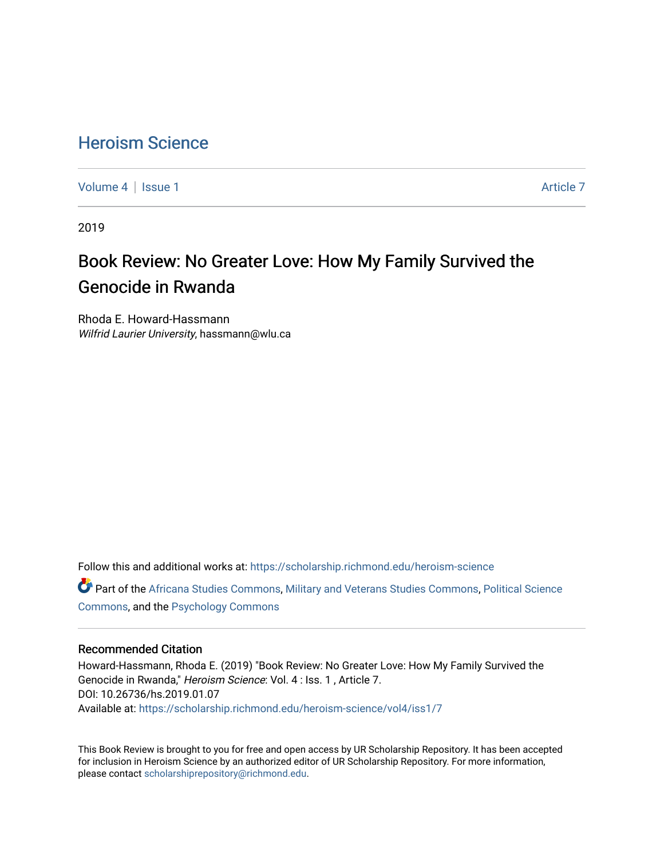## [Heroism Science](https://scholarship.richmond.edu/heroism-science)

[Volume 4](https://scholarship.richmond.edu/heroism-science/vol4) | [Issue 1](https://scholarship.richmond.edu/heroism-science/vol4/iss1) Article 7

2019

# Book Review: No Greater Love: How My Family Survived the Genocide in Rwanda

Rhoda E. Howard-Hassmann Wilfrid Laurier University, hassmann@wlu.ca

Follow this and additional works at: [https://scholarship.richmond.edu/heroism-science](https://scholarship.richmond.edu/heroism-science?utm_source=scholarship.richmond.edu%2Fheroism-science%2Fvol4%2Fiss1%2F7&utm_medium=PDF&utm_campaign=PDFCoverPages) 

Part of the [Africana Studies Commons,](http://network.bepress.com/hgg/discipline/1418?utm_source=scholarship.richmond.edu%2Fheroism-science%2Fvol4%2Fiss1%2F7&utm_medium=PDF&utm_campaign=PDFCoverPages) [Military and Veterans Studies Commons](http://network.bepress.com/hgg/discipline/396?utm_source=scholarship.richmond.edu%2Fheroism-science%2Fvol4%2Fiss1%2F7&utm_medium=PDF&utm_campaign=PDFCoverPages), [Political Science](http://network.bepress.com/hgg/discipline/386?utm_source=scholarship.richmond.edu%2Fheroism-science%2Fvol4%2Fiss1%2F7&utm_medium=PDF&utm_campaign=PDFCoverPages)  [Commons](http://network.bepress.com/hgg/discipline/386?utm_source=scholarship.richmond.edu%2Fheroism-science%2Fvol4%2Fiss1%2F7&utm_medium=PDF&utm_campaign=PDFCoverPages), and the [Psychology Commons](http://network.bepress.com/hgg/discipline/404?utm_source=scholarship.richmond.edu%2Fheroism-science%2Fvol4%2Fiss1%2F7&utm_medium=PDF&utm_campaign=PDFCoverPages) 

#### Recommended Citation

Howard-Hassmann, Rhoda E. (2019) "Book Review: No Greater Love: How My Family Survived the Genocide in Rwanda," Heroism Science: Vol. 4 : Iss. 1 , Article 7. DOI: 10.26736/hs.2019.01.07 Available at: [https://scholarship.richmond.edu/heroism-science/vol4/iss1/7](https://scholarship.richmond.edu/heroism-science/vol4/iss1/7?utm_source=scholarship.richmond.edu%2Fheroism-science%2Fvol4%2Fiss1%2F7&utm_medium=PDF&utm_campaign=PDFCoverPages)

This Book Review is brought to you for free and open access by UR Scholarship Repository. It has been accepted for inclusion in Heroism Science by an authorized editor of UR Scholarship Repository. For more information, please contact [scholarshiprepository@richmond.edu.](mailto:scholarshiprepository@richmond.edu)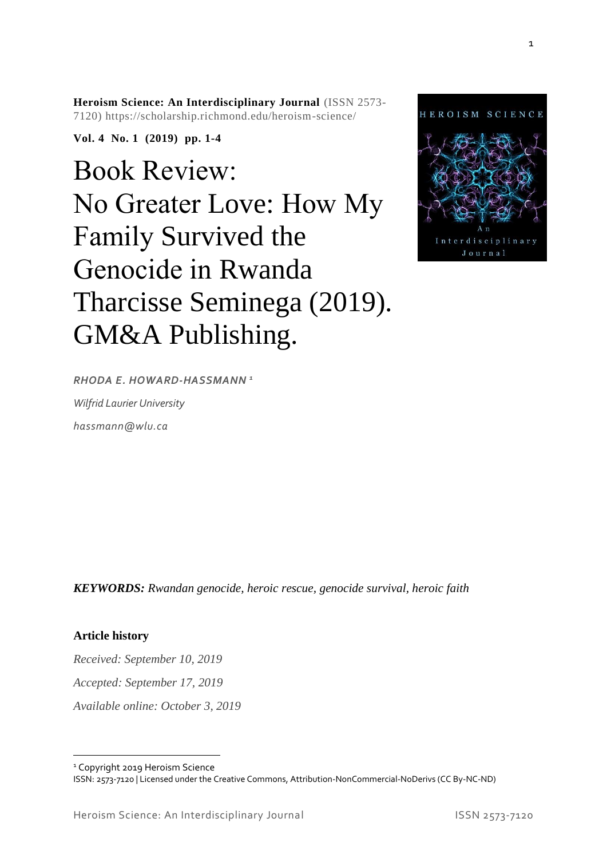**Heroism Science: An Interdisciplinary Journal** (ISSN 2573- 7120) https://scholarship.richmond.edu/heroism-science/

**Vol. 4 No. 1 (2019) pp. 1-4**

# Book Review: No Greater Love: How My Family Survived the Genocide in Rwanda Tharcisse Seminega (2019). GM&A Publishing.



*RHODA E. HOWARD-HASSMANN <sup>1</sup>*

*Wilfrid Laurier University*

*hassmann@wlu.ca*

*KEYWORDS: Rwandan genocide, heroic rescue, genocide survival, heroic faith*

### **Article history**

*Received: September 10, 2019 Accepted: September 17, 2019 Available online: October 3, 2019*

<sup>1</sup> Copyright 2019 Heroism Science ISSN: 2573-7120 | Licensed under the Creative Commons, Attribution-NonCommercial-NoDerivs (CC By-NC-ND)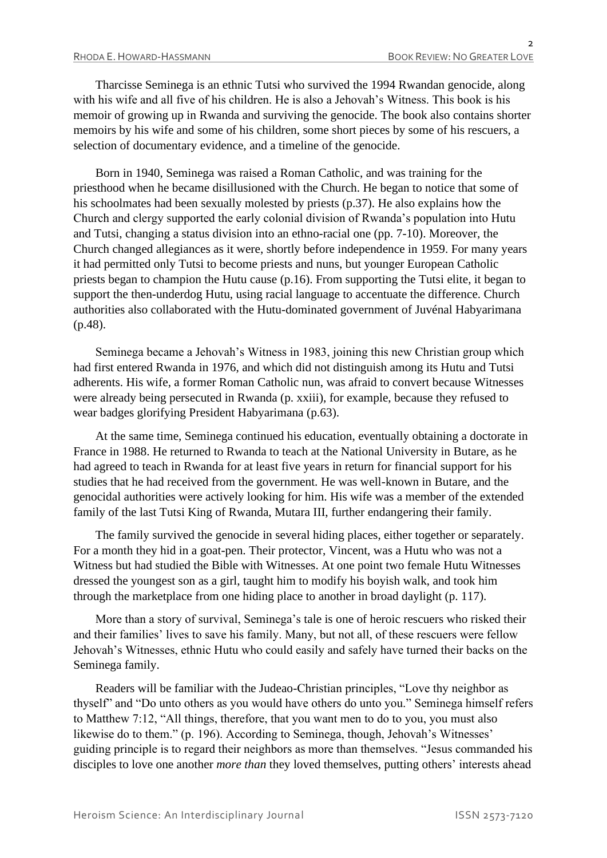Tharcisse Seminega is an ethnic Tutsi who survived the 1994 Rwandan genocide, along with his wife and all five of his children. He is also a Jehovah's Witness. This book is his memoir of growing up in Rwanda and surviving the genocide. The book also contains shorter memoirs by his wife and some of his children, some short pieces by some of his rescuers, a selection of documentary evidence, and a timeline of the genocide.

Born in 1940, Seminega was raised a Roman Catholic, and was training for the priesthood when he became disillusioned with the Church. He began to notice that some of his schoolmates had been sexually molested by priests (p.37). He also explains how the Church and clergy supported the early colonial division of Rwanda's population into Hutu and Tutsi, changing a status division into an ethno-racial one (pp. 7-10). Moreover, the Church changed allegiances as it were, shortly before independence in 1959. For many years it had permitted only Tutsi to become priests and nuns, but younger European Catholic priests began to champion the Hutu cause (p.16). From supporting the Tutsi elite, it began to support the then-underdog Hutu, using racial language to accentuate the difference. Church authorities also collaborated with the Hutu-dominated government of Juvénal Habyarimana (p.48).

Seminega became a Jehovah's Witness in 1983, joining this new Christian group which had first entered Rwanda in 1976, and which did not distinguish among its Hutu and Tutsi adherents. His wife, a former Roman Catholic nun, was afraid to convert because Witnesses were already being persecuted in Rwanda (p. xxiii), for example, because they refused to wear badges glorifying President Habyarimana (p.63).

At the same time, Seminega continued his education, eventually obtaining a doctorate in France in 1988. He returned to Rwanda to teach at the National University in Butare, as he had agreed to teach in Rwanda for at least five years in return for financial support for his studies that he had received from the government. He was well-known in Butare, and the genocidal authorities were actively looking for him. His wife was a member of the extended family of the last Tutsi King of Rwanda, Mutara III, further endangering their family.

The family survived the genocide in several hiding places, either together or separately. For a month they hid in a goat-pen. Their protector, Vincent, was a Hutu who was not a Witness but had studied the Bible with Witnesses. At one point two female Hutu Witnesses dressed the youngest son as a girl, taught him to modify his boyish walk, and took him through the marketplace from one hiding place to another in broad daylight (p. 117).

More than a story of survival, Seminega's tale is one of heroic rescuers who risked their and their families' lives to save his family. Many, but not all, of these rescuers were fellow Jehovah's Witnesses, ethnic Hutu who could easily and safely have turned their backs on the Seminega family.

Readers will be familiar with the Judeao-Christian principles, "Love thy neighbor as thyself" and "Do unto others as you would have others do unto you." Seminega himself refers to Matthew 7:12, "All things, therefore, that you want men to do to you, you must also likewise do to them." (p. 196). According to Seminega, though, Jehovah's Witnesses' guiding principle is to regard their neighbors as more than themselves. "Jesus commanded his disciples to love one another *more than* they loved themselves, putting others' interests ahead